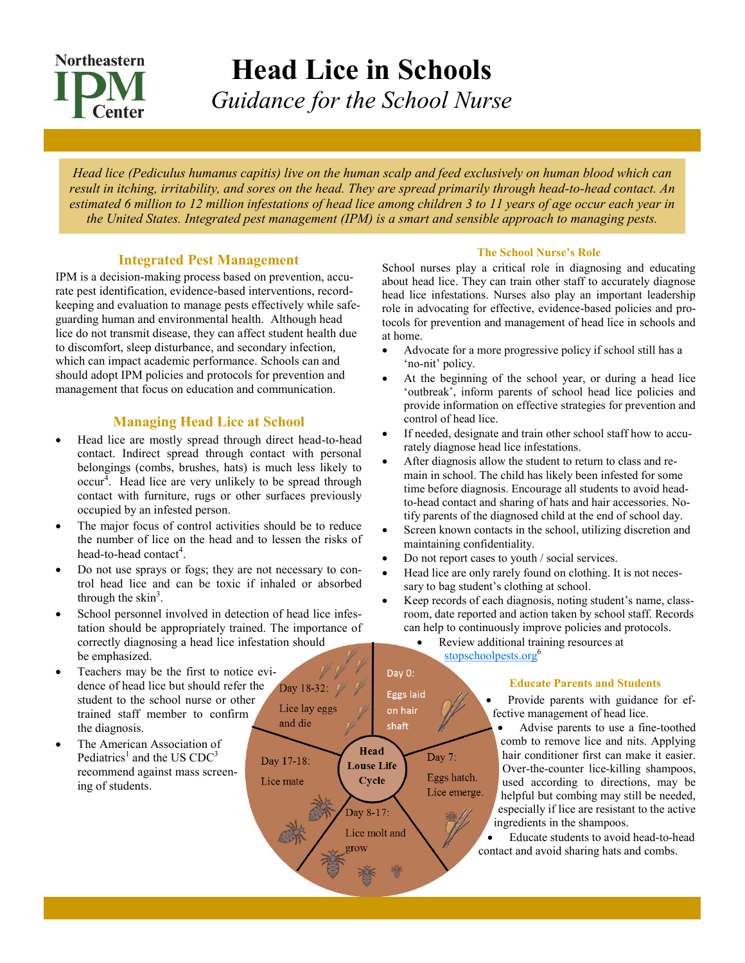# **Northeastern Center**

**Head Lice in Schools** *Guidance for the School Nurse*

*Head lice (Pediculus humanus capitis) live on the human scalp and feed exclusively on human blood which can result in itching, irritability, and sores on the head. They are spread primarily through head-to-head contact. An estimated 6 million to 12 million infestations of head lice among children 3 to 11 years of age occur each year in the United States. Integrated pest management (IPM) is a smart and sensible approach to managing pests.*

## **Integrated Pest Management**

IPM is a decision-making process based on prevention, accurate pest identification, evidence-based interventions, recordkeeping and evaluation to manage pests effectively while safeguarding human and environmental health. Although head lice do not transmit disease, they can affect student health due to discomfort, sleep disturbance, and secondary infection, which can impact academic performance. Schools can and should adopt IPM policies and protocols for prevention and management that focus on education and communication.

## **Managing Head Lice at School**

- Head lice are mostly spread through direct head-to-head contact. Indirect spread through contact with personal belongings (combs, brushes, hats) is much less likely to  $\mathrm{occur}^4$ . Head lice are very unlikely to be spread through contact with furniture, rugs or other surfaces previously occupied by an infested person.
- The major focus of control activities should be to reduce the number of lice on the head and to lessen the risks of head-to-head contact<sup>4</sup>.
- Do not use sprays or fogs; they are not necessary to control head lice and can be toxic if inhaled or absorbed through the skin<sup>3</sup>.
- School personnel involved in detection of head lice infestation should be appropriately trained. The importance of correctly diagnosing a head lice infestation should be emphasized.
- Teachers may be the first to notice evidence of head lice but should refer the Day 18-32: student to the school nurse or other Lice lay eggs trained staff member to confirm and die the diagnosis.
- The American Association of Pediatrics<sup>1</sup> and the US  $CDC<sup>3</sup>$ recommend against mass screening of students.

#### **The School Nurse's Role**

School nurses play a critical role in diagnosing and educating about head lice. They can train other staff to accurately diagnose head lice infestations. Nurses also play an important leadership role in advocating for effective, evidence-based policies and protocols for prevention and management of head lice in schools and at home.

- Advocate for a more progressive policy if school still has a 'no-nit' policy.
- At the beginning of the school year, or during a head lice 'outbreak', inform parents of school head lice policies and provide information on effective strategies for prevention and control of head lice.
- If needed, designate and train other school staff how to accurately diagnose head lice infestations.
- After diagnosis allow the student to return to class and remain in school. The child has likely been infested for some time before diagnosis. Encourage all students to avoid headto-head contact and sharing of hats and hair accessories. Notify parents of the diagnosed child at the end of school day.
- Screen known contacts in the school, utilizing discretion and maintaining confidentiality.
- Do not report cases to youth / social services.
- Head lice are only rarely found on clothing. It is not necessary to bag student's clothing at school.
- Keep records of each diagnosis, noting student's name, classroom, date reported and action taken by school staff. Records can help to continuously improve policies and protocols.

• Review additional training resources at [stopschoolpests.org](http://stopschoolpests.com/)<sup>6</sup>

# Day 0:

Day 7:

Eggs hatch.

Lice emerge.

Eggs laid

on hair

shaft

Head

**Louse Life** 

Cycle

Day 8-17: Lice molt and grow

Day 17-18:

Lice mate

#### **Educate Parents and Students**

• Provide parents with guidance for effective management of head lice.

• Advise parents to use a fine-toothed comb to remove lice and nits. Applying hair conditioner first can make it easier. Over-the-counter lice-killing shampoos, used according to directions, may be helpful but combing may still be needed, especially if lice are resistant to the active ingredients in the shampoos.

• Educate students to avoid head-to-head contact and avoid sharing hats and combs.